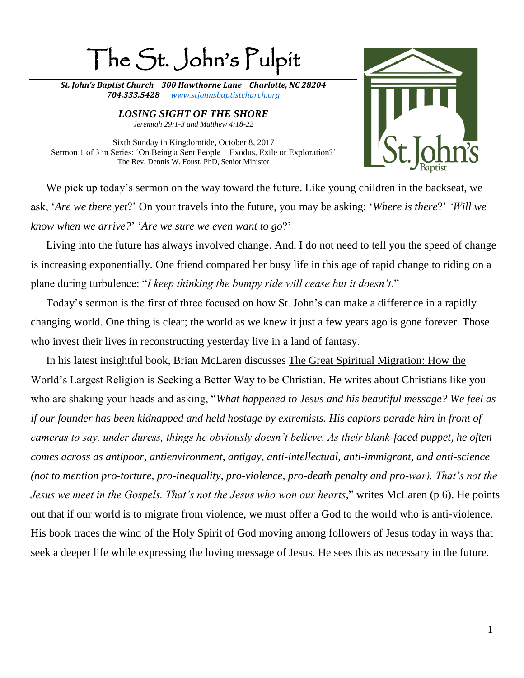## The St. John's Pulpit

*St. John's Baptist Church 300 Hawthorne Lane Charlotte, NC 28204 704.333.5428 [www.stjohnsbaptistchurch.org](http://www.stjohnsbaptistchurch.org/)*

> *LOSING SIGHT OF THE SHORE Jeremiah 29:1-3 and Matthew 4:18-22*

Sixth Sunday in Kingdomtide, October 8, 2017 Sermon 1 of 3 in Series: 'On Being a Sent People – Exodus, Exile or Exploration?' The Rev. Dennis W. Foust, PhD, Senior Minister \_\_\_\_\_\_\_\_\_\_\_\_\_\_\_\_\_\_\_\_\_\_\_\_\_\_\_\_\_\_\_\_\_\_\_\_\_\_\_\_\_\_\_\_\_\_\_\_\_\_\_\_\_\_\_\_\_\_\_\_\_\_\_\_\_\_\_



We pick up today's sermon on the way toward the future. Like young children in the backseat, we ask, '*Are we there yet*?' On your travels into the future, you may be asking: '*Where is there*?' *'Will we know when we arrive?*' '*Are we sure we even want to go*?'

Living into the future has always involved change. And, I do not need to tell you the speed of change is increasing exponentially. One friend compared her busy life in this age of rapid change to riding on a plane during turbulence: "*I keep thinking the bumpy ride will cease but it doesn't*."

Today's sermon is the first of three focused on how St. John's can make a difference in a rapidly changing world. One thing is clear; the world as we knew it just a few years ago is gone forever. Those who invest their lives in reconstructing yesterday live in a land of fantasy.

In his latest insightful book, Brian McLaren discusses The Great Spiritual Migration: How the World's Largest Religion is Seeking a Better Way to be Christian. He writes about Christians like you who are shaking your heads and asking, "*What happened to Jesus and his beautiful message? We feel as if our founder has been kidnapped and held hostage by extremists. His captors parade him in front of cameras to say, under duress, things he obviously doesn't believe. As their blank-faced puppet, he often comes across as antipoor, antienvironment, antigay, anti-intellectual, anti-immigrant, and anti-science (not to mention pro-torture, pro-inequality, pro-violence, pro-death penalty and pro-war). That's not the Jesus we meet in the Gospels. That's not the Jesus who won our hearts,*" writes McLaren (p 6). He points out that if our world is to migrate from violence, we must offer a God to the world who is anti-violence. His book traces the wind of the Holy Spirit of God moving among followers of Jesus today in ways that seek a deeper life while expressing the loving message of Jesus. He sees this as necessary in the future.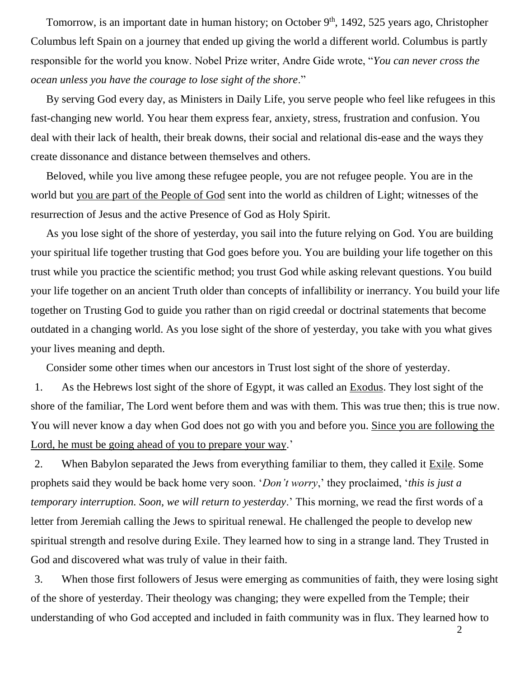Tomorrow, is an important date in human history; on October 9<sup>th</sup>, 1492, 525 years ago, Christopher Columbus left Spain on a journey that ended up giving the world a different world. Columbus is partly responsible for the world you know. Nobel Prize writer, Andre Gide wrote, "*You can never cross the ocean unless you have the courage to lose sight of the shore*."

By serving God every day, as Ministers in Daily Life, you serve people who feel like refugees in this fast-changing new world. You hear them express fear, anxiety, stress, frustration and confusion. You deal with their lack of health, their break downs, their social and relational dis-ease and the ways they create dissonance and distance between themselves and others.

Beloved, while you live among these refugee people, you are not refugee people. You are in the world but you are part of the People of God sent into the world as children of Light; witnesses of the resurrection of Jesus and the active Presence of God as Holy Spirit.

As you lose sight of the shore of yesterday, you sail into the future relying on God. You are building your spiritual life together trusting that God goes before you. You are building your life together on this trust while you practice the scientific method; you trust God while asking relevant questions. You build your life together on an ancient Truth older than concepts of infallibility or inerrancy. You build your life together on Trusting God to guide you rather than on rigid creedal or doctrinal statements that become outdated in a changing world. As you lose sight of the shore of yesterday, you take with you what gives your lives meaning and depth.

Consider some other times when our ancestors in Trust lost sight of the shore of yesterday.

1. As the Hebrews lost sight of the shore of Egypt, it was called an Exodus. They lost sight of the shore of the familiar, The Lord went before them and was with them. This was true then; this is true now. You will never know a day when God does not go with you and before you. Since you are following the Lord, he must be going ahead of you to prepare your way.'

2. When Babylon separated the Jews from everything familiar to them, they called it Exile. Some prophets said they would be back home very soon. '*Don't worry*,' they proclaimed, '*this is just a temporary interruption. Soon, we will return to yesterday*.' This morning, we read the first words of a letter from Jeremiah calling the Jews to spiritual renewal. He challenged the people to develop new spiritual strength and resolve during Exile. They learned how to sing in a strange land. They Trusted in God and discovered what was truly of value in their faith.

3. When those first followers of Jesus were emerging as communities of faith, they were losing sight of the shore of yesterday. Their theology was changing; they were expelled from the Temple; their understanding of who God accepted and included in faith community was in flux. They learned how to